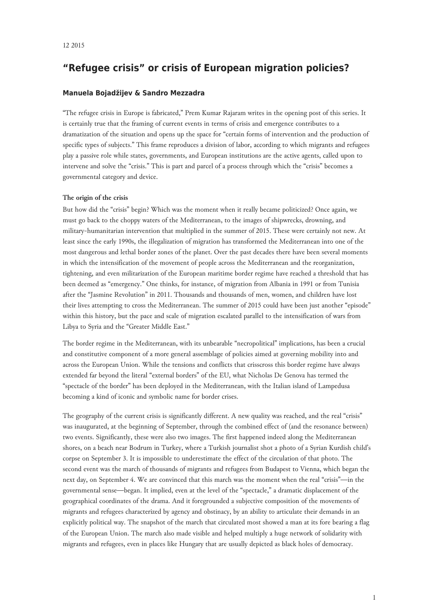# **"Refugee crisis" or crisis of European migration policies?**

## **Manuela Bojadžijev & Sandro Mezzadra**

"The refugee crisis in Europe is fabricated," Prem Kumar Rajaram writes in the opening post of this series. It is certainly true that the framing of current events in terms of crisis and emergence contributes to a dramatization of the situation and opens up the space for "certain forms of intervention and the production of specific types of subjects." This frame reproduces a division of labor, according to which migrants and refugees play a passive role while states, governments, and European institutions are the active agents, called upon to intervene and solve the "crisis." This is part and parcel of a process through which the "crisis" becomes a governmental category and device.

#### **The origin of the crisis**

But how did the "crisis" begin? Which was the moment when it really became politicized? Once again, we must go back to the choppy waters of the Mediterranean, to the images of shipwrecks, drowning, and military-humanitarian intervention that multiplied in the summer of 2015. These were certainly not new. At least since the early 1990s, the illegalization of migration has transformed the Mediterranean into one of the most dangerous and lethal border zones of the planet. Over the past decades there have been several moments in which the intensification of the movement of people across the Mediterranean and the reorganization, tightening, and even militarization of the European maritime border regime have reached a threshold that has been deemed as "emergency." One thinks, for instance, of migration from Albania in 1991 or from Tunisia after the "Jasmine Revolution" in 2011. Thousands and thousands of men, women, and children have lost their lives attempting to cross the Mediterranean. The summer of 2015 could have been just another "episode" within this history, but the pace and scale of migration escalated parallel to the intensification of wars from Libya to Syria and the "Greater Middle East."

The border regime in the Mediterranean, with its unbearable "necropolitical" implications, has been a crucial and constitutive component of a more general assemblage of policies aimed at governing mobility into and across the European Union. While the tensions and conflicts that crisscross this border regime have always extended far beyond the literal "external borders" of the EU, what Nicholas De Genova has termed the "spectacle of the border" has been deployed in the Mediterranean, with the Italian island of Lampedusa becoming a kind of iconic and symbolic name for border crises.

The geography of the current crisis is significantly different. A new quality was reached, and the real "crisis" was inaugurated, at the beginning of September, through the combined effect of (and the resonance between) two events. Significantly, these were also two images. The first happened indeed along the Mediterranean shores, on a beach near Bodrum in Turkey, where a Turkish journalist shot a photo of a Syrian Kurdish child's corpse on September 3. It is impossible to underestimate the effect of the circulation of that photo. The second event was the march of thousands of migrants and refugees from Budapest to Vienna, which began the next day, on September 4. We are convinced that this march was the moment when the real "crisis"—in the governmental sense—began. It implied, even at the level of the "spectacle," a dramatic displacement of the geographical coordinates of the drama. And it foregrounded a subjective composition of the movements of migrants and refugees characterized by agency and obstinacy, by an ability to articulate their demands in an explicitly political way. The snapshot of the march that circulated most showed a man at its fore bearing a flag of the European Union. The march also made visible and helped multiply a huge network of solidarity with migrants and refugees, even in places like Hungary that are usually depicted as black holes of democracy.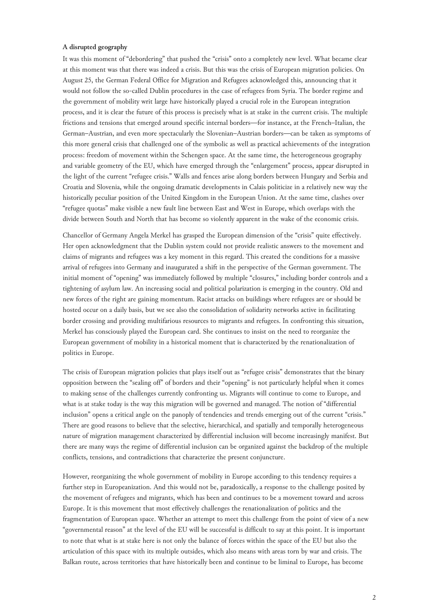### **A disrupted geography**

It was this moment of "debordering" that pushed the "crisis" onto a completely new level. What became clear at this moment was that there was indeed a crisis. But this was the crisis of European migration policies. On August 25, the German Federal Office for Migration and Refugees acknowledged this, announcing that it would not follow the so-called Dublin procedures in the case of refugees from Syria. The border regime and the government of mobility writ large have historically played a crucial role in the European integration process, and it is clear the future of this process is precisely what is at stake in the current crisis. The multiple frictions and tensions that emerged around specific internal borders—for instance, at the French–Italian, the German–Austrian, and even more spectacularly the Slovenian–Austrian borders—can be taken as symptoms of this more general crisis that challenged one of the symbolic as well as practical achievements of the integration process: freedom of movement within the Schengen space. At the same time, the heterogeneous geography and variable geometry of the EU, which have emerged through the "enlargement" process, appear disrupted in the light of the current "refugee crisis." Walls and fences arise along borders between Hungary and Serbia and Croatia and Slovenia, while the ongoing dramatic developments in Calais politicize in a relatively new way the historically peculiar position of the United Kingdom in the European Union. At the same time, clashes over "refugee quotas" make visible a new fault line between East and West in Europe, which overlaps with the divide between South and North that has become so violently apparent in the wake of the economic crisis.

Chancellor of Germany Angela Merkel has grasped the European dimension of the "crisis" quite effectively. Her open acknowledgment that the Dublin system could not provide realistic answers to the movement and claims of migrants and refugees was a key moment in this regard. This created the conditions for a massive arrival of refugees into Germany and inaugurated a shift in the perspective of the German government. The initial moment of "opening" was immediately followed by multiple "closures," including border controls and a tightening of asylum law. An increasing social and political polarization is emerging in the country. Old and new forces of the right are gaining momentum. Racist attacks on buildings where refugees are or should be hosted occur on a daily basis, but we see also the consolidation of solidarity networks active in facilitating border crossing and providing multifarious resources to migrants and refugees. In confronting this situation, Merkel has consciously played the European card. She continues to insist on the need to reorganize the European government of mobility in a historical moment that is characterized by the renationalization of politics in Europe.

The crisis of European migration policies that plays itself out as "refugee crisis" demonstrates that the binary opposition between the "sealing off" of borders and their "opening" is not particularly helpful when it comes to making sense of the challenges currently confronting us. Migrants will continue to come to Europe, and what is at stake today is the way this migration will be governed and managed. The notion of "differential inclusion" opens a critical angle on the panoply of tendencies and trends emerging out of the current "crisis." There are good reasons to believe that the selective, hierarchical, and spatially and temporally heterogeneous nature of migration management characterized by differential inclusion will become increasingly manifest. But there are many ways the regime of differential inclusion can be organized against the backdrop of the multiple conflicts, tensions, and contradictions that characterize the present conjuncture.

However, reorganizing the whole government of mobility in Europe according to this tendency requires a further step in Europeanization. And this would not be, paradoxically, a response to the challenge posited by the movement of refugees and migrants, which has been and continues to be a movement toward and across Europe. It is this movement that most effectively challenges the renationalization of politics and the fragmentation of European space. Whether an attempt to meet this challenge from the point of view of a new "governmental reason" at the level of the EU will be successful is difficult to say at this point. It is important to note that what is at stake here is not only the balance of forces within the space of the EU but also the articulation of this space with its multiple outsides, which also means with areas torn by war and crisis. The Balkan route, across territories that have historically been and continue to be liminal to Europe, has become